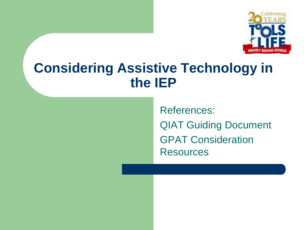

#### **Considering Assistive Technology in the IEP**

References: QIAT Guiding Document GPAT Consideration **Resources**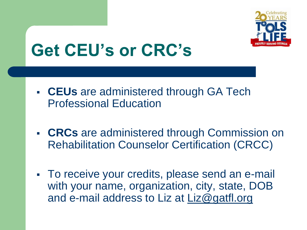

# **Get CEU's or CRC's**

- **CEUs** are administered through GA Tech Professional Education
- **CRCs** are administered through Commission on Rehabilitation Counselor Certification (CRCC)
- To receive your credits, please send an e-mail with your name, organization, city, state, DOB and e-mail address to Liz at Liz@gatfl.org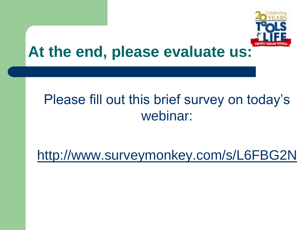

#### **At the end, please evaluate us:**

#### Please fill out this brief survey on today's webinar:

<http://www.surveymonkey.com/s/L6FBG2N>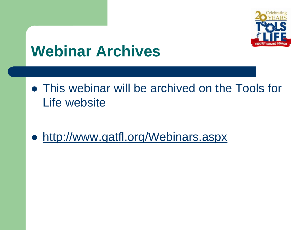

## **Webinar Archives**

- This webinar will be archived on the Tools for Life website
- <http://www.gatfl.org/Webinars.aspx>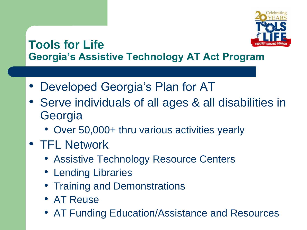

#### **Tools for Life Georgia's Assistive Technology AT Act Program**

- Developed Georgia's Plan for AT
- Serve individuals of all ages & all disabilities in **Georgia** 
	- Over 50,000+ thru various activities yearly
- TFL Network
	- Assistive Technology Resource Centers
	- Lending Libraries
	- Training and Demonstrations
	- AT Reuse
	- AT Funding Education/Assistance and Resources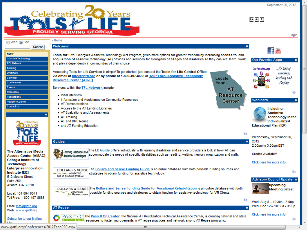

 $A+$   $A R$ 

|                                            |                                                                                                                                               | Login                                      |
|--------------------------------------------|-----------------------------------------------------------------------------------------------------------------------------------------------|--------------------------------------------|
| © Web ⊙ Site                               | ⊩ Home                                                                                                                                        |                                            |
| Search                                     | Welcome!                                                                                                                                      |                                            |
|                                            |                                                                                                                                               | <b>F</b>                                   |
| Home                                       | Tools for Life, Georgia's Assistive Technology Act Program, gives more options for greater freedom by increasing access to and                |                                            |
| <b>Assistive Technology</b>                | acquisition of assistive technology (AT) devices and services for Georgians of all ages and disabilities so they can live, learn, work,       | <b>Our Favorite Apps</b><br>$\blacksquare$ |
| <b>TFL Network</b>                         | and play independently in communities of their choice.                                                                                        |                                            |
| Training                                   | Accessing Tools for Life Services is simple! To get started, just contact the Tools for Life Central Office                                   | for Livings<br>Our Favorite Apps           |
| Weblnars<br>Calendar                       | via email at Info@gatfl.org or by phone at 1-800-497-8665 or Your Local Assistive Technology                                                  | Loarning;                                  |
| Conferences                                | Locate<br><b>Resource Center (ATRC).</b>                                                                                                      | Working and                                |
| Events                                     | Your                                                                                                                                          | Playing                                    |
| <b>Resources</b>                           | Services within the TFL Network include:<br><b>AT</b>                                                                                         | Ğ.                                         |
| <b>Publications</b>                        | <b>Resource</b><br>lnitial Interview                                                                                                          |                                            |
| <b>Advisory Council</b>                    | Information and Assistance on Community Resources<br><b>Center</b>                                                                            | Webinars<br>$\blacksquare$                 |
| Contact Us                                 | AT Demonstrations                                                                                                                             |                                            |
|                                            | Access to the AT Lending Libraries                                                                                                            | Including                                  |
|                                            | AT Evaluations and Assessments<br>- AT Training                                                                                               | <b>Assistive</b><br>Technology in the      |
|                                            | AT and DME Reuse                                                                                                                              | Individualized                             |
|                                            | and AT Funding Education.                                                                                                                     | <b>Educational Plan (IEP)</b>              |
|                                            |                                                                                                                                               |                                            |
|                                            | <b>NR</b>                                                                                                                                     | Wednesday, September 26,                   |
|                                            | <b>Guides</b><br>п                                                                                                                            | 2012                                       |
|                                            |                                                                                                                                               | 2:00pm to 3:30pm EST                       |
| <b>The Alternative Media</b>               | Learning Disabilities and The LD Guide offers individuals with learning disabilities and service providers a look at how AT can               |                                            |
| <b>Access Center (AMAC)</b>                | accommodate the needs of specific disabilities such as reading, writing, memory organization and math.<br>Assistive Technologies              | <b>Credits Available!</b>                  |
| Georgia Institute of                       |                                                                                                                                               |                                            |
| <b>Technology</b>                          |                                                                                                                                               | Click here for more info                   |
| <b>Enterprise Innovation</b>               | DOLLARS & SENSE The Dollars and Sense Funding Guide is an online database with both possible funding sources and                              | Νā                                         |
| <b>Institute [EI2]</b><br>512 Means Street | strategies to obtain funding for assistive technology.<br>- NAVIGATING<br>THE AT FUNDING STREAM                                               |                                            |
| Suite 250                                  |                                                                                                                                               | Advisory Council Update =                  |
| Atlanta, GA 30318                          |                                                                                                                                               | Upcoming                                   |
|                                            | DOLLARS & SENSE The Dollars and Sense Funding Guide for Vocational Rehabilitation is an online database with both                             | <b>Meeting Dates:</b>                      |
| Local: 404-894-0541                        | VOCATIONAL<br><b>for</b> REHABILITATION<br>possible funding sources and strategies to obtain funding for assistive technology for VR Clients. |                                            |
| Toll Free: 1-800-497-8665                  | SR.                                                                                                                                           | Wed, Aug 8 - 10:30a - 3:00p                |
| Email: Info@gatfl.org                      |                                                                                                                                               | Wed, Dec 12 – 10:30a - 3:00p               |
| Web: www.gatfl.org                         | <b>AT Reuse</b>                                                                                                                               |                                            |
|                                            | Pass It On The Pass It On Center, the National AT Reutilization Technical Assistance Center, is creating national and state                   | Click here for more info                   |
| Subscribe to our Mailing                   | <b>N. U. B. Resources to foster improvements in AT reuse practices and network among AT Reuse programs.</b>                                   | Ğ3                                         |
| ist                                        |                                                                                                                                               |                                            |

www.gatfl.org/Conferences/2012TechP2P.aspx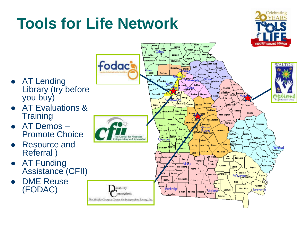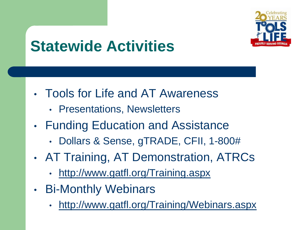

## **Statewide Activities**

- Tools for Life and AT Awareness
	- Presentations, Newsletters
- Funding Education and Assistance
	- Dollars & Sense, gTRADE, CFII, 1-800#
- AT Training, AT Demonstration, ATRCs
	- <http://www.gatfl.org/Training.aspx>
- Bi-Monthly Webinars
	- <http://www.gatfl.org/Training/Webinars.aspx>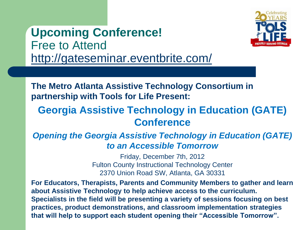**Upcoming Conference!** Free to Attend <http://gateseminar.eventbrite.com/>



**The Metro Atlanta Assistive Technology Consortium in partnership with Tools for Life Present:**

#### **Georgia Assistive Technology in Education (GATE) Conference**

#### *Opening the Georgia Assistive Technology in Education (GATE) to an Accessible Tomorrow*

Friday, December 7th, 2012 Fulton County Instructional Technology Center 2370 Union Road SW, Atlanta, GA 30331

**For Educators, Therapists, Parents and Community Members to gather and learn about Assistive Technology to help achieve access to the curriculum. Specialists in the field will be presenting a variety of sessions focusing on best practices, product demonstrations, and classroom implementation strategies that will help to support each student opening their "Accessible Tomorrow".**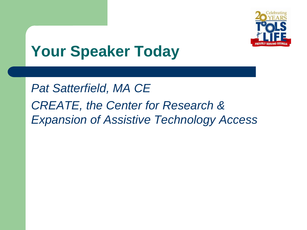

## **Your Speaker Today**

*Pat Satterfield, MA CE CREATE, the Center for Research & Expansion of Assistive Technology Access*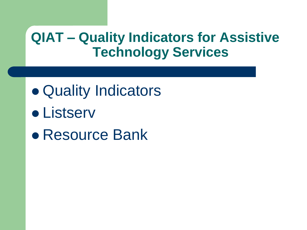#### **QIAT – Quality Indicators for Assistive Technology Services**

- Quality Indicators
- **•** Listserv
- Resource Bank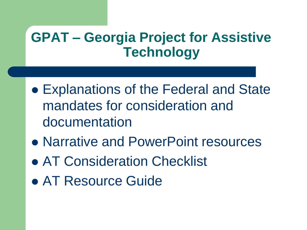#### **GPAT – Georgia Project for Assistive Technology**

- Explanations of the Federal and State mandates for consideration and documentation
- Narrative and PowerPoint resources
- AT Consideration Checklist
- AT Resource Guide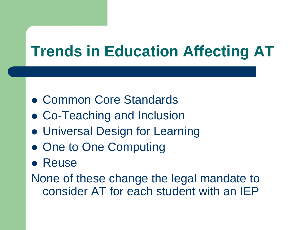## **Trends in Education Affecting AT**

- Common Core Standards
- Co-Teaching and Inclusion
- Universal Design for Learning
- One to One Computing
- **Reuse**

None of these change the legal mandate to consider AT for each student with an IEP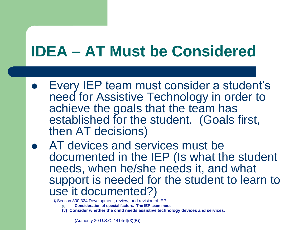# **IDEA – AT Must be Considered**

- Every IEP team must consider a student's need for Assistive Technology in order to achieve the goals that the team has established for the student. (Goals first, then AT decisions)
- **AT devices and services must be** documented in the IEP (Is what the student needs, when he/she needs it, and what support is needed for the student to learn to use it documented?)

§ Section 300.324 Development, review, and revision of IEP

- **(1) Consideration of special factors. The IEP team must-**
- **(v) Consider whether the child needs assistive technology devices and services.**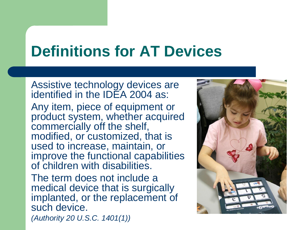## **Definitions for AT Devices**

Assistive technology devices are identified in the IDEA 2004 as: Any item, piece of equipment or product system, whether acquired commercially off the shelf, modified, or customized, that is used to increase, maintain, or improve the functional capabilities of children with disabilities.

The term does not include a medical device that is surgically implanted, or the replacement of such device. *(Authority 20 U.S.C. 1401(1))*

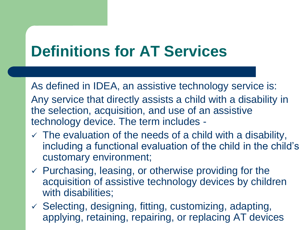# **Definitions for AT Services**

As defined in IDEA, an assistive technology service is: Any service that directly assists a child with a disability in the selection, acquisition, and use of an assistive technology device. The term includes -

- $\checkmark$  The evaluation of the needs of a child with a disability, including a functional evaluation of the child in the child's customary environment;
- $\checkmark$  Purchasing, leasing, or otherwise providing for the acquisition of assistive technology devices by children with disabilities:
- $\checkmark$  Selecting, designing, fitting, customizing, adapting, applying, retaining, repairing, or replacing AT devices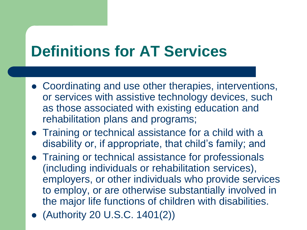# **Definitions for AT Services**

- Coordinating and use other therapies, interventions, or services with assistive technology devices, such as those associated with existing education and rehabilitation plans and programs;
- Training or technical assistance for a child with a disability or, if appropriate, that child's family; and
- Training or technical assistance for professionals (including individuals or rehabilitation services), employers, or other individuals who provide services to employ, or are otherwise substantially involved in the major life functions of children with disabilities.
- (Authority 20 U.S.C. 1401(2))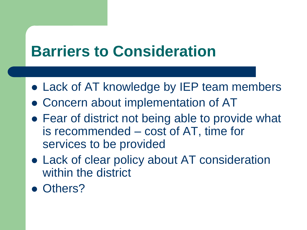## **Barriers to Consideration**

- Lack of AT knowledge by IEP team members
- Concern about implementation of AT
- Fear of district not being able to provide what is recommended – cost of AT, time for services to be provided
- Lack of clear policy about AT consideration within the district
- Others?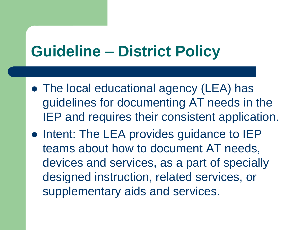#### **Guideline – District Policy**

- The local educational agency (LEA) has guidelines for documenting AT needs in the IEP and requires their consistent application.
- Intent: The LEA provides guidance to IEP teams about how to document AT needs, devices and services, as a part of specially designed instruction, related services, or supplementary aids and services.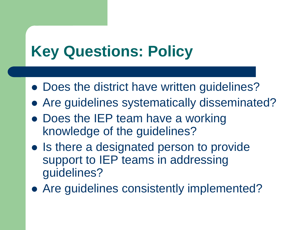# **Key Questions: Policy**

- Does the district have written guidelines?
- Are guidelines systematically disseminated?
- Does the IEP team have a working knowledge of the guidelines?
- Is there a designated person to provide support to IEP teams in addressing guidelines?
- Are guidelines consistently implemented?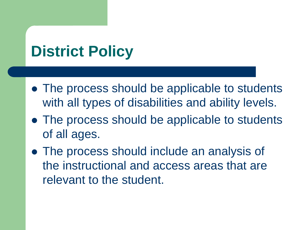## **District Policy**

- The process should be applicable to students with all types of disabilities and ability levels.
- The process should be applicable to students of all ages.
- The process should include an analysis of the instructional and access areas that are relevant to the student.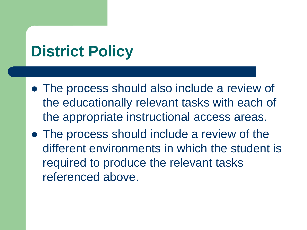## **District Policy**

- The process should also include a review of the educationally relevant tasks with each of the appropriate instructional access areas.
- The process should include a review of the different environments in which the student is required to produce the relevant tasks referenced above.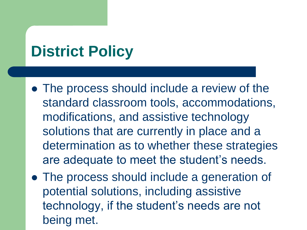## **District Policy**

- The process should include a review of the standard classroom tools, accommodations, modifications, and assistive technology solutions that are currently in place and a determination as to whether these strategies are adequate to meet the student's needs.
- The process should include a generation of potential solutions, including assistive technology, if the student's needs are not being met.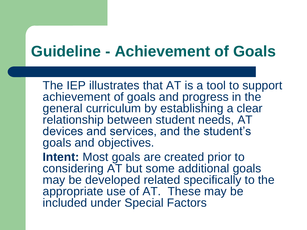#### **Guideline - Achievement of Goals**

The IEP illustrates that AT is a tool to support achievement of goals and progress in the general curriculum by establishing a clear relationship between student needs, AT devices and services, and the student's goals and objectives.

**Intent:** Most goals are created prior to considering AT but some additional goals may be developed related specifically to the appropriate use of AT. These may be included under Special Factors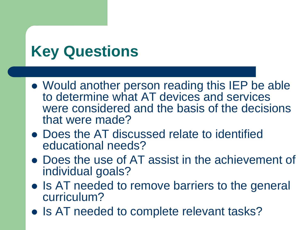# **Key Questions**

- Would another person reading this IEP be able to determine what AT devices and services were considered and the basis of the decisions that were made?
- Does the AT discussed relate to identified educational needs?
- Does the use of AT assist in the achievement of individual goals?
- Is AT needed to remove barriers to the general curriculum?
- Is AT needed to complete relevant tasks?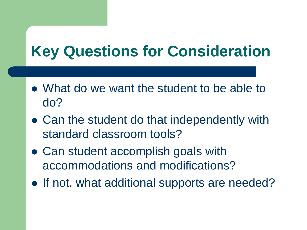# **Key Questions for Consideration**

- What do we want the student to be able to do?
- Can the student do that independently with standard classroom tools?
- Can student accomplish goals with accommodations and modifications?
- If not, what additional supports are needed?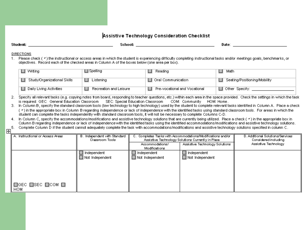#### Assistive Technology Consideration Checklist

| Student: |  |  |
|----------|--|--|
|          |  |  |

School: Analysis and the contract of the contract of the contract of the contract of the contract of the contract of the contract of the contract of the contract of the contract of the contract of the contract of the contr

Date: the contract of the contract of the contract of the contract of the contract of the contract of the contract of the contract of the contract of the contract of the contract of the contract of the contract of the cont

#### **DIRECTIONS**

1. Please check ( \*) the instructional or access areas in which the student is experiencing difficulty completing instructional tasks and/or meetings goals, benchmarks, or objectives. Record each of the checked areas in Column A of the boxes below (one area per box).

| ∐ Writing                   | / Spelling             | Reading                         | Math<br>ப                      |
|-----------------------------|------------------------|---------------------------------|--------------------------------|
| Study/Organizational Skills | l Listening.           | $\Box$ Oral Communication.      | □ Seating/Positioning/Mobility |
| □ Daily Living Activities   | Recreation and Leisure | Pre-vocational and Vocational ( | $\Box$ Other Specify:          |

- 2. Specify all relevant tasks (e.g. copying notes from board, responding to teacher questions, etc.) within each area in the space provided. Check the settings in which the task is required: GEC: General Education Classroom SEC: Special Education Classroom COM: Community HOM: Home.
- 3. In Column B, specify the standard classroom tools (low technology to high technology) used by the student to complete relevant tasks identified in Column A. Place a check ( \*) in the appropriate box in Column B regarding independence or lack of independence with the identified tasks using standard classroom tools. For areas in which the student can complete the tasks independently with standard classroom tools, it will not be necessary to complete Columns C-D.
- 4. In Column C, specify the accommodations/modifications and assistive technology solutions that are currently being utilized. Place a check ( v) in the appropriate box in Column B regarding independence or lack of independence with the identified tasks using the identified accommodations/modifications and assistive technology solutions.
- 5. Complete Column D if the student cannot adequately complete the task with accommodations/modifications and assistive technology solutions specified in column C.

| ____ |
|------|

| A. Instructional or Access Areas               | B. Independent with Standard<br>Classroom Tools | C. Completes Tasks with Accommodations/Modifications and/or<br>Assistive Technology Solutions Currently in Place |                                | D. Additional Solutions/Services<br>Considered including |
|------------------------------------------------|-------------------------------------------------|------------------------------------------------------------------------------------------------------------------|--------------------------------|----------------------------------------------------------|
|                                                |                                                 | Accommodations/<br>Modifications                                                                                 | Assistive Technology Solutions | Assistive Technology                                     |
|                                                | $\Box$ Independent                              | Independent                                                                                                      | Independent                    |                                                          |
|                                                | $\Box$ Not Independent                          | Not Independent                                                                                                  | $\blacksquare$ Not Independent |                                                          |
|                                                |                                                 |                                                                                                                  |                                |                                                          |
|                                                |                                                 |                                                                                                                  |                                |                                                          |
|                                                |                                                 |                                                                                                                  |                                |                                                          |
|                                                |                                                 |                                                                                                                  |                                |                                                          |
| $\Box$ GEC $\Box$ SEC $\Box$ COM $\Box$<br>HOM |                                                 |                                                                                                                  |                                |                                                          |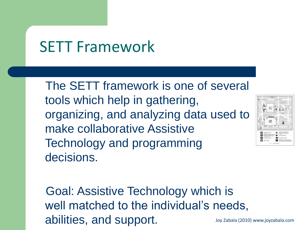#### SETT Framework

 The SETT framework is one of several tools which help in gathering, organizing, and analyzing data used to make collaborative Assistive Technology and programming decisions.



 Goal: Assistive Technology which is well matched to the individual's needs, abilities, and support. Joy Zabala (2010) www.joyzabala.com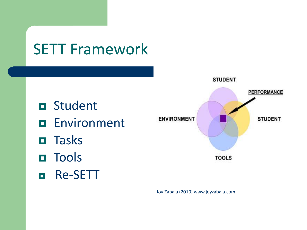## SETT Framework

- **O** Student
- **Environment**
- **n** Tasks
- **O** Tools
- Re-SETT



Joy Zabala (2010) www.joyzabala.com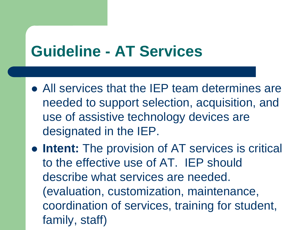#### **Guideline - AT Services**

- All services that the IEP team determines are needed to support selection, acquisition, and use of assistive technology devices are designated in the IEP.
- **Intent:** The provision of AT services is critical to the effective use of AT. IEP should describe what services are needed. (evaluation, customization, maintenance, coordination of services, training for student, family, staff)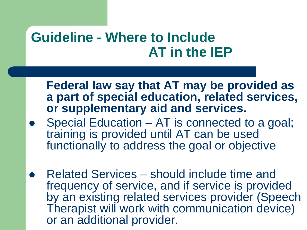#### **Guideline - Where to Include AT in the IEP**

**Federal law say that AT may be provided as a part of special education, related services, or supplementary aid and services.**

- Special Education AT is connected to a goal; training is provided until AT can be used functionally to address the goal or objective
- Related Services should include time and frequency of service, and if service is provided by an existing related services provider (Speech Therapist will work with communication device) or an additional provider.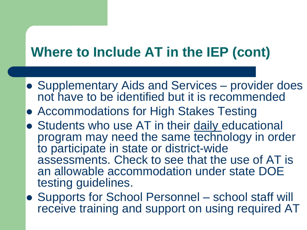#### **Where to Include AT in the IEP (cont)**

- Supplementary Aids and Services provider does not have to be identified but it is recommended
- Accommodations for High Stakes Testing
- **Students who use AT in their daily educational** program may need the same technology in order to participate in state or district-wide assessments. Check to see that the use of AT is an allowable accommodation under state DOE testing guidelines.
- Supports for School Personnel school staff will receive training and support on using required AT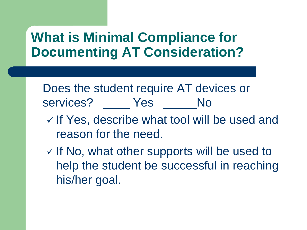#### **What is Minimal Compliance for Documenting AT Consideration?**

Does the student require AT devices or services? Yes No

- $\checkmark$  If Yes, describe what tool will be used and reason for the need.
- $\checkmark$  If No, what other supports will be used to help the student be successful in reaching his/her goal.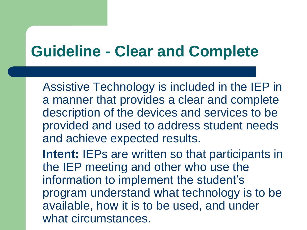#### **Guideline - Clear and Complete**

Assistive Technology is included in the IEP in a manner that provides a clear and complete description of the devices and services to be provided and used to address student needs and achieve expected results.

**Intent:** IEPs are written so that participants in the IEP meeting and other who use the information to implement the student's program understand what technology is to be available, how it is to be used, and under what circumstances.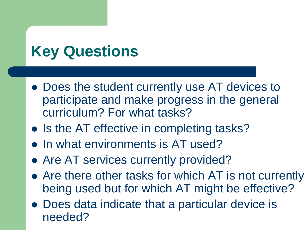# **Key Questions**

- Does the student currently use AT devices to participate and make progress in the general curriculum? For what tasks?
- Is the AT effective in completing tasks?
- In what environments is AT used?
- Are AT services currently provided?
- Are there other tasks for which AT is not currently being used but for which AT might be effective?
- Does data indicate that a particular device is needed?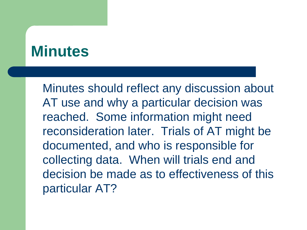#### **Minutes**

Minutes should reflect any discussion about AT use and why a particular decision was reached. Some information might need reconsideration later. Trials of AT might be documented, and who is responsible for collecting data. When will trials end and decision be made as to effectiveness of this particular AT?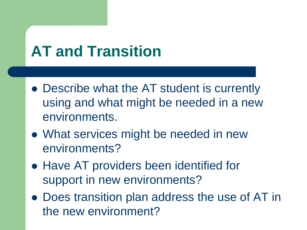# **AT and Transition**

- Describe what the AT student is currently using and what might be needed in a new environments.
- What services might be needed in new environments?
- Have AT providers been identified for support in new environments?
- Does transition plan address the use of AT in the new environment?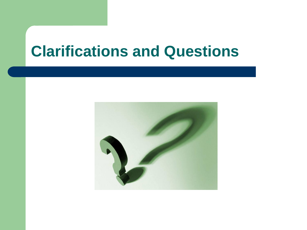#### **Clarifications and Questions**

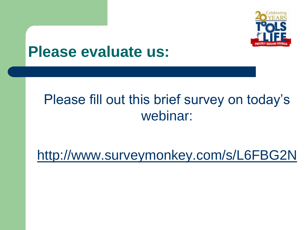

#### **Please evaluate us:**

#### Please fill out this brief survey on today's webinar:

<http://www.surveymonkey.com/s/L6FBG2N>